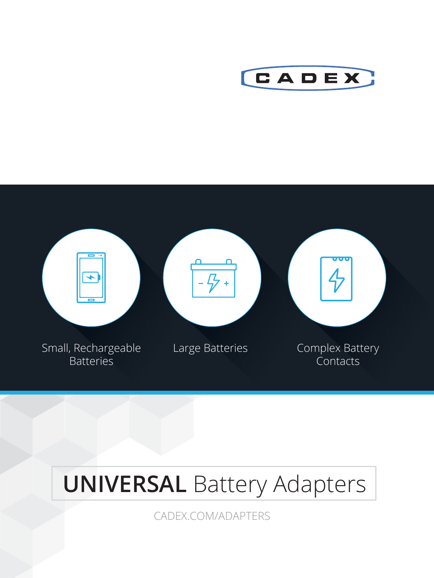



# **UNIVERSAL Battery Adapters**

CADEX.COM/ADAPTERS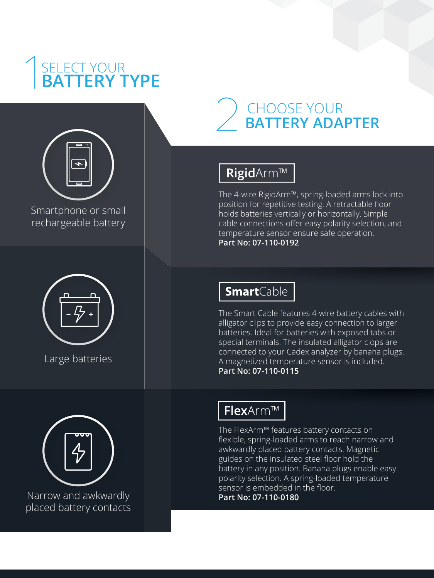# SELECT YOUR **BATTERY TYPE**



Smartphone or small martphone smallrechargeable battery



Large batteries Large



Narrow and awkwardly arrow and awkwardly placed battery contacts

# CHOOSE YOUR **BATTERY ADAPTER**

## RigidArm™

The 4-wire RigidArm™, spring-loaded arms lock into position for repetitive testing. A retractable floor holds batteries vertically or horizontally. Simple cable connections offer easy polarity selection, and temperature sensor ensure safe operation. **Part No: 07-110-0192** 

## **Smart**Cable

The Smart Cable features 4-wire battery cables with alligator clips to provide easy connection to larger batteries. Ideal for batteries with exposed tabs or special terminals. The insulated alligator clops are connected to your Cadex analyzer by banana plugs. A magnetized temperature sensor is included. **Part No: 07-110-0115**

### FlexArm™

The FlexArm™ features battery contacts on flexible, spring-loaded arms to reach narrow and awkwardly placed battery contacts. Magnetic guides on the insulated steel floor hold the battery in any position. Banana plugs enable easy polarity selection. A spring-loaded temperature sensor is embedded in the floor.

**Part No: 07-110-0180**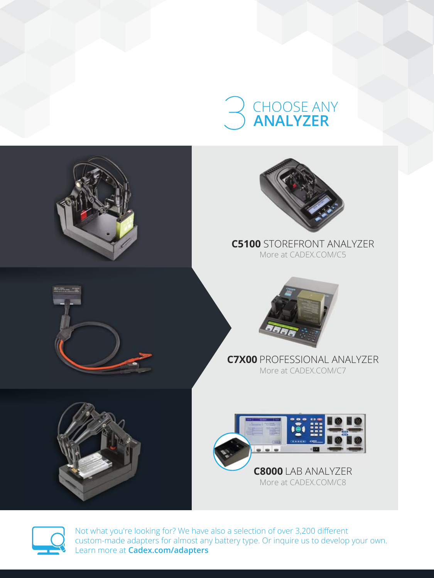# CHOOSE ANY **ANALYZER**





Not what you're looking for? We have also a selection of over 3,200 different custom-made adapters for almost any battery type. Or inquire us to develop your own. Learn more at **Cadex.com/adapters**